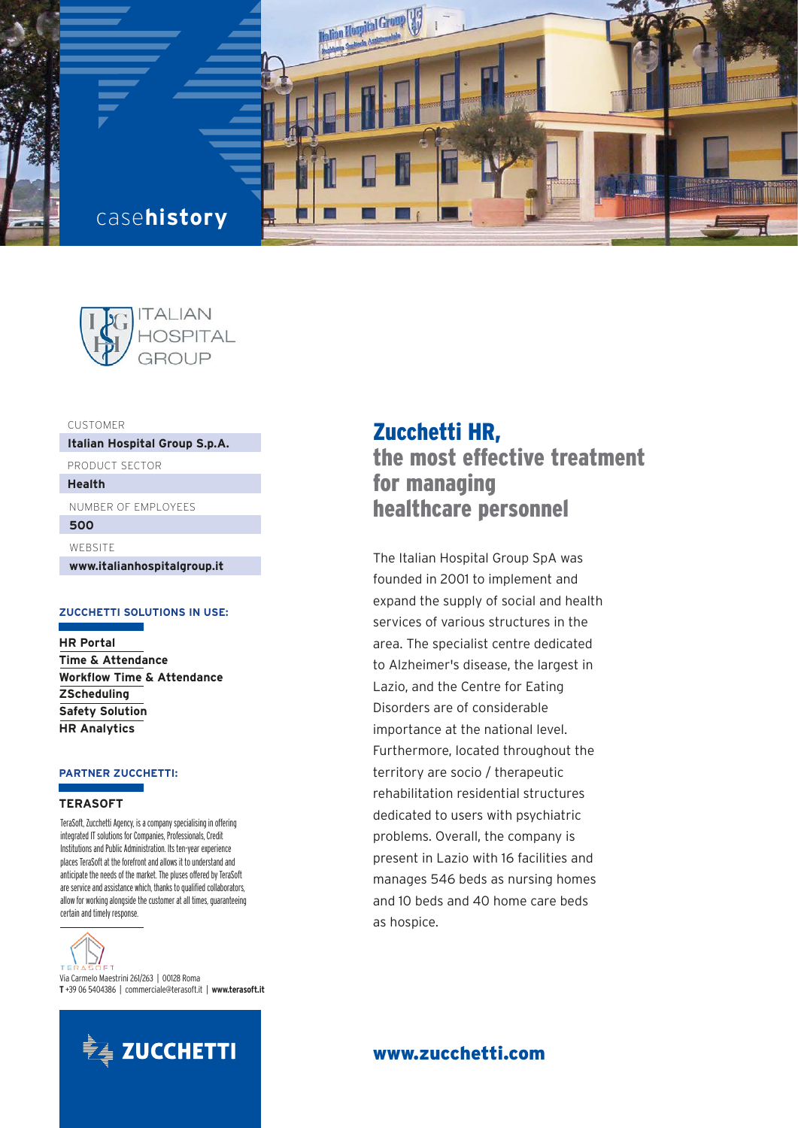



CUSTOMER

**Italian Hospital Group S.p.A.**

PRODUCT SECTOR

**Health**

NUMBER OF EMPLOYEES

**500**

WEBSITE

**www.italianhospitalgroup.it** 

# **ZUCCHETTI SOLUTIONS IN USE:**

**HR Portal Time & Attendance Workflow Time & Attendance ZScheduling Safety Solution HR Analytics**

# **PARTNER ZUCCHETTI:**

#### **TERASOFT**

TeraSoft, Zucchetti Agency, is a company specialising in offering integrated IT solutions for Companies, Professionals, Credit Institutions and Public Administration. Its ten-year experience places TeraSoft at the forefront and allows it to understand and anticipate the needs of the market. The pluses offered by TeraSoft are service and assistance which, thanks to qualified collaborators, allow for working alongside the customer at all times, guaranteeing certain and timely response.

,<br>1 = т T E. Via Carmelo Maestrini 261/263 | 00128 Roma **T** +39 06 5404386 | commerciale@terasoft.it | **www.terasoft.it**



# Zucchetti HR,

the most effective treatment for managing healthcare personnel

The Italian Hospital Group SpA was founded in 2001 to implement and expand the supply of social and health services of various structures in the area. The specialist centre dedicated to Alzheimer's disease, the largest in Lazio, and the Centre for Eating Disorders are of considerable importance at the national level. Furthermore, located throughout the territory are socio / therapeutic rehabilitation residential structures dedicated to users with psychiatric problems. Overall, the company is present in Lazio with 16 facilities and manages 546 beds as nursing homes and 10 beds and 40 home care beds as hospice.

# www.zucchetti.com